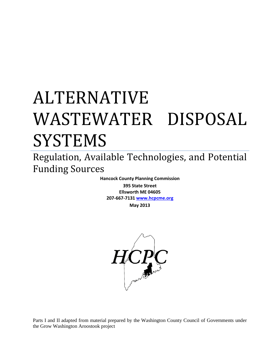# ALTERNATIVE WASTEWATER DISPOSAL SYSTEMS

Regulation, Available Technologies, and Potential Funding Sources

> **Hancock County Planning Commission 395 State Street Ellsworth ME 04605 207-667-7131 [www.hcpcme.org](http://www.hcpcme.org/)**

**May 2013**



Parts I and II adapted from material prepared by the Washington County Council of Governments under the Grow Washington Aroostook project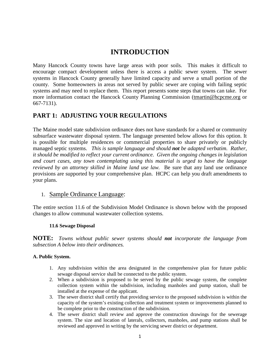# **INTRODUCTION**

Many Hancock County towns have large areas with poor soils. This makes it difficult to encourage compact development unless there is access a public sewer system. The sewer systems in Hancock County generally have limited capacity and serve a small portion of the county. Some homeowners in areas not served by public sewer are coping with failing septic systems and may need to replace them. This report presents some steps that towns can take. For more information contact the Hancock County Planning Commission [\(tmartin@hcpcme.org](mailto:tmartin@hcpcme.org) or 667-7131).

# **PART 1: ADJUSTING YOUR REGULATIONS**

The Maine model state subdivision ordinance does not have standards for a shared or community subsurface wastewater disposal system. The language presented below allows for this option. It is possible for multiple residences or commercial properties to share privately or publicly managed septic systems. *This is sample language and should not be adapted verbatim. Rather, it should be modified to reflect your current ordinance. Given the ongoing changes in legislation and court cases, any town contemplating using this material is urged to have the language reviewed by an attorney skilled in Maine land use law.* Be sure that any land use ordinance provisions are supported by your comprehensive plan. HCPC can help you draft amendments to your plans.

## 1. Sample Ordinance Language:

The entire section 11.6 of the Subdivision Model Ordinance is shown below with the proposed changes to allow communal wastewater collection systems.

#### **11.6 Sewage Disposal**

**NOTE:** *Towns without public sewer systems should not incorporate the language from subsection A below into their ordinances.*

#### **A. Public System.**

- 1. Any subdivision within the area designated in the comprehensive plan for future public sewage disposal service shall be connected to the public system.
- 2. When a subdivision is proposed to be served by the public sewage system, the complete collection system within the subdivision, including manholes and pump station, shall be installed at the expense of the applicant.
- 3. The sewer district shall certify that providing service to the proposed subdivision is within the capacity of the system's existing collection and treatment system or improvements planned to be complete prior to the construction of the subdivision.
- 4. The sewer district shall review and approve the construction drawings for the sewerage system. The size and location of laterals, collectors, manholes, and pump stations shall be reviewed and approved in writing by the servicing sewer district or department.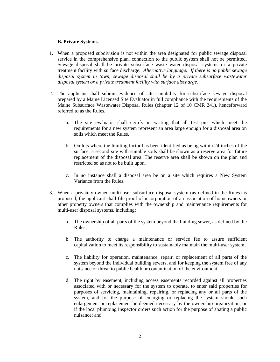#### **B. Private Systems.**

- 1. When a proposed subdivision is not within the area designated for public sewage disposal service in the comprehensive plan, connection to the public system shall not be permitted. Sewage disposal shall be private subsurface waste water disposal systems or a private treatment facility with surface discharge. *Alternative language: If there is no public sewage disposal system in town, sewage disposal shall be by a private subsurface wastewater disposal system or a private treatment facility with surface discharge.*
- 2. The applicant shall submit evidence of site suitability for subsurface sewage disposal prepared by a Maine Licensed Site Evaluator in full compliance with the requirements of the Maine Subsurface Wastewater Disposal Rules (chapter 12 of 10 CMR 241), henceforward referred to as the Rules.
	- a. The site evaluator shall certify in writing that all test pits which meet the requirements for a new system represent an area large enough for a disposal area on soils which meet the Rules.
	- b. On lots where the limiting factor has been identified as being within 24 inches of the surface, a second site with suitable soils shall be shown as a reserve area for future replacement of the disposal area. The reserve area shall be shown on the plan and restricted so as not to be built upon.
	- c. In no instance shall a disposal area be on a site which requires a New System Variance from the Rules.
- 3. When a privately owned multi-user subsurface disposal system (as defined in the Rules) is proposed, the applicant shall file proof of incorporation of an association of homeowners or other property owners that complies with the ownership and maintenance requirements for multi-user disposal systems, including:
	- a. The ownership of all parts of the system beyond the building sewer, as defined by the Rules;
	- b. The authority to charge a maintenance or service fee to assure sufficient capitalization to meet its responsibility to sustainably maintain the multi-user system;
	- c. The liability for operation, maintenance, repair, or replacement of all parts of the system beyond the individual building sewers, and for keeping the system free of any nuisance or threat to public health or contamination of the environment;
	- d. The right by easement, including access easements recorded against all properties associated with or necessary for the system to operate, to enter said properties for purposes of servicing, maintaining, repairing, or replacing any or all parts of the system, and for the purpose of enlarging or replacing the system should such enlargement or replacement be deemed necessary by the ownership organization, or if the local plumbing inspector orders such action for the purpose of abating a public nuisance; and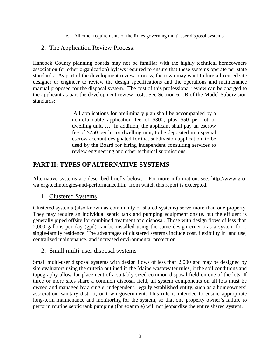e. All other requirements of the Rules governing multi-user disposal systems.

## 2. The Application Review Process:

Hancock County planning boards may not be familiar with the highly technical homeowners association (or other organization) bylaws required to ensure that these systems operate per state standards. As part of the development review process, the town may want to hire a licensed site designer or engineer to review the design specifications and the operations and maintenance manual proposed for the disposal system. The cost of this professional review can be charged to the applicant as part the development review costs. See Section 6.1.B of the Model Subdivision standards:

> All applications for preliminary plan shall be accompanied by a nonrefundable application fee of \$300, plus \$50 per lot or dwelling unit, … In addition, the applicant shall pay an escrow fee of \$250 per lot or dwelling unit, to be deposited in a special escrow account designated for that subdivision application, to be used by the Board for hiring independent consulting services to review engineering and other technical submissions.

# **PART II: TYPES OF ALTERNATIVE SYSTEMS**

Alternative systems are described briefly below. For more information, see: [http://www.gro](http://www.gro-wa.org/technologies-and-performance.htm)[wa.org/technologies-and-performance.htm](http://www.gro-wa.org/technologies-and-performance.htm) from which this report is excerpted.

## 1. Clustered Systems

Clustered systems (also known as community or shared systems) serve more than one property. They may require an individual septic tank and pumping equipment onsite, but the effluent is generally piped offsite for combined treatment and disposal. Those with design flows of less than 2,000 gallons per day (gpd) can be installed using the same design criteria as a system for a single-family residence. The advantages of clustered systems include cost, flexibility in land use, centralized maintenance, and increased environmental protection.

## 2. Small multi-user disposal systems

Small multi-user disposal systems with design flows of less than 2,000 gpd may be designed by site evaluators using the criteria outlined in the [Maine wastewater rules,](http://www.gro-wa.org/assets/files/water-infrastructure/SubSurfWWDocs/New%20subsurface%20wastewater%20code.pdf) if the soil conditions and topography allow for placement of a suitably-sized common disposal field on one of the lots. If three or more sites share a common disposal field, all system components on all lots must be owned and managed by a single, independent, legally established entity, such as a homeowners' association, sanitary district, or town government. This rule is intended to ensure appropriate long-term maintenance and monitoring for the system, so that one property owner's failure to perform routine septic tank pumping (for example) will not jeopardize the entire shared system.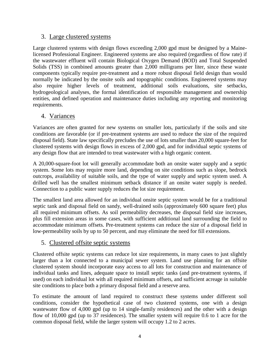### 3. Large clustered systems

Large clustered systems with design flows exceeding 2,000 gpd must be designed by a Mainelicensed Professional Engineer. Engineered systems are also required (regardless of flow rate) if the wastewater effluent will contain Biological Oxygen Demand (BOD) and Total Suspended Solids (TSS) in combined amounts greater than 2,000 milligrams per liter, since these waste components typically require pre-treatment and a more robust disposal field design than would normally be indicated by the onsite soils and topographic conditions. Engineered systems may also require higher levels of treatment, additional soils evaluations, site setbacks, hydrogeological analyses, the formal identification of responsible management and ownership entities, and defined operation and maintenance duties including any reporting and monitoring requirements.

## 4. Variances

Variances are often granted for new systems on smaller lots, particularly if the soils and site conditions are favorable (or if pre-treatment systems are used to reduce the size of the required disposal field). State law specifically precludes the use of lots smaller than 20,000 square-feet for clustered systems with design flows in excess of 2,000 gpd, and for individual septic systems of any design flow that are intended to treat wastewater with a high organic content.

A 20,000-square-foot lot will generally accommodate both an onsite water supply and a septic system. Some lots may require more land, depending on site conditions such as slope, bedrock outcrops, availability of suitable soils, and the type of water supply and septic system used. A drilled well has the smallest minimum setback distance if an onsite water supply is needed. Connection to a public water supply reduces the lot size requirement.

The smallest land area allowed for an individual onsite septic system would be for a traditional septic tank and disposal field on sandy, well-drained soils (approximately 600 square feet) plus all required minimum offsets. As soil permeability decreases, the disposal field size increases, plus fill extension areas in some cases, with sufficient additional land surrounding the field to accommodate minimum offsets. Pre-treatment systems can reduce the size of a disposal field in low-permeability soils by up to 50 percent, and may eliminate the need for fill extensions.

#### 5. Clustered offsite septic systems

Clustered offsite septic systems can reduce lot size requirements, in many cases to just slightly larger than a lot connected to a municipal sewer system. Land use planning for an offsite clustered system should incorporate easy access to all lots for construction and maintenance of individual tanks and lines, adequate space to install septic tanks (and pre-treatment systems, if used) on each individual lot with all required minimum offsets, and sufficient acreage in suitable site conditions to place both a primary disposal field and a reserve area.

To estimate the amount of land required to construct these systems under different soil conditions, consider the hypothetical case of two clustered systems, one with a design wastewater flow of 4,000 gpd (up to 14 single-family residences) and the other with a design flow of 10,000 gpd (up to 37 residences). The smaller system will require 0.6 to 1 acre for the common disposal field, while the larger system will occupy 1.2 to 2 acres.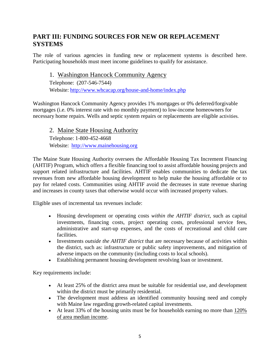# **PART III: FUNDING SOURCES FOR NEW OR REPLACEMENT SYSTEMS**

The role of various agencies in funding new or replacement systems is described here. Participating households must meet income guidelines to qualify for assistance.

## 1. Washington Hancock Community Agency

Telephone: (207-546-7544) Website:<http://www.whcacap.org/house-and-home/index.php>

Washington Hancock Community Agency provides 1% mortgages or 0% deferred/forgivable mortgages (i.e. 0% interest rate with no monthly payment) to low-income homeowners for necessary home repairs. Wells and septic system repairs or replacements are eligible activities.

# 2. Maine State Housing Authority

Telephone: 1-800-452-4668 Website: [http://www.mainehousing.org](http://www.mainehousing.org/) 

The Maine State Housing Authority oversees the Affordable Housing Tax Increment Financing (AHTIF) Program, which offers a flexible financing tool to assist affordable housing projects and support related infrastructure and facilities. AHTIF enables communities to dedicate the tax revenues from new affordable housing development to help make the housing affordable or to pay for related costs. Communities using AHTIF avoid the decreases in state revenue sharing and increases in county taxes that otherwise would occur with increased property values.

Eligible uses of incremental tax revenues include:

- Housing development or operating costs *within the AHTIF district*, such as capital investments, financing costs, project operating costs, professional service fees, administrative and start-up expenses, and the costs of recreational and child care facilities.
- Investments *outside the AHTIF district* that are necessary because of activities within the district, such as: infrastructure or public safety improvements, and mitigation of adverse impacts on the community (including costs to local schools).
- Establishing permanent housing development revolving loan or investment.

Key requirements include:

- At least 25% of the district area must be suitable for residential use, and development within the district must be primarily residential.
- The development must address an identified community housing need and comply with Maine law regarding growth-related capital investments.
- At least 33% of the housing units must be for households earning no more than [120%](http://www.mainehousing.org/Charts/DATAMedianIncome120)  [of area median income.](http://www.mainehousing.org/Charts/DATAMedianIncome120)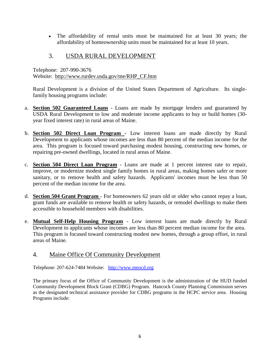• The affordability of rental units must be maintained for at least 30 years; the affordability of homeownership units must be maintained for at least 10 years.

# 3. USDA RURAL DEVELOPMENT

Telephone: 207-990-3676 Website: [http://www.rurdev.usda.gov/me/RHP\\_CF.htm](http://www.rurdev.usda.gov/me/RHP_CF.htm) 

Rural Development is a division of the United States Department of Agriculture. Its singlefamily housing programs include:

- a. **[Section 502 Guaranteed Loans](http://www.rurdev.usda.gov/me/SFH/Fact%20Sheets/502%20guaranteed%20factsheet%201-2009.pdf)** Loans are made by mortgage lenders and guaranteed by USDA Rural Development to low and moderate income applicants to buy or build homes (30 year fixed interest rate) in rural areas of Maine.
- b. **[Section 502 Direct Loan Program](http://www.rurdev.usda.gov/me/SFH/Fact%20Sheets/502%20Direct%2001-2009.pdf) -** Low interest loans are made directly by Rural Development to applicants whose incomes are less than 80 percent of the median income for the area. This program is focused toward purchasing modest housing, constructing new homes, or repairing pre-owned dwellings, located in rural areas of Maine.
- c. **[Section 504 Direct Loan Program](http://www.rurdev.usda.gov/me/SFH/Fact%20Sheets/504%20loan%2001-2009.pdf)** Loans are made at 1 percent interest rate to repair, improve, or modernize modest single family homes in rural areas, making homes safer or more sanitary, or to remove health and safety hazards. Applicants' incomes must be less than 50 percent of the median income for the area.
- d. **[Section 504 Grant Program](http://www.rurdev.usda.gov/me/SFH/Fact%20Sheets/504%20grant%2001-2009.pdf)** For homeowners 62 years old or older who cannot repay a loan, grant funds are available to remove health or safety hazards, or remodel dwellings to make them accessible to household members with disabilities.
- e. **[Mutual Self-Help Housing Program](http://www.rurdev.usda.gov/me/SFH/selfhelp.htm)** Low interest loans are made directly by Rural Development to applicants whose incomes are less than 80 percent median income for the area. This program is focused toward constructing modest new homes, through a group effort, in rural areas of Maine.

# 4. Maine Office Of Community Development

Telephone: 207-624-7484 Website: [http://www.meocd.org](http://www.meocd.org/)

The primary focus of the Office of Community Development is the administration of the HUD funded Community Development Block Grant (CDBG) Program. Hancock County Planning Commission serves as the designated technical assistance provider for CDBG programs in the HCPC service area. Housing Programs include: